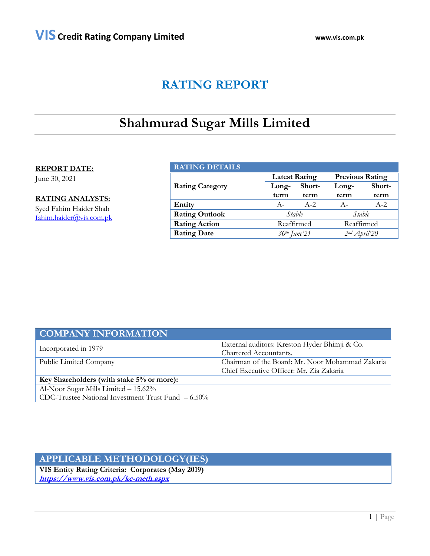# **RATING REPORT**

# **Shahmurad Sugar Mills Limited**

### **REPORT DATE:**

June 30, 2021

**RATING ANALYSTS:** Syed Fahim Haider Shah [fahim.haider@vis.com.pk](mailto:fahim.haider@vis.com.pk)

| <b>RATING DETAILS</b>  |                          |         |                        |          |  |
|------------------------|--------------------------|---------|------------------------|----------|--|
|                        | <b>Latest Rating</b>     |         | <b>Previous Rating</b> |          |  |
| <b>Rating Category</b> | Long-                    | Short-  | Long-                  | Short-   |  |
|                        | term                     | term    | term                   | term     |  |
| Entity                 | $A -$                    | $A - 2$ | $A-$                   | $A - 2.$ |  |
| <b>Rating Outlook</b>  | Stable                   |         | Stable                 |          |  |
| <b>Rating Action</b>   | Reaffirmed               |         | Reaffirmed             |          |  |
| <b>Rating Date</b>     | 30 <sup>th</sup> June'21 |         | $2nd$ April'20         |          |  |

| <b>COMPANY INFORMATION</b>                           |                                                  |  |
|------------------------------------------------------|--------------------------------------------------|--|
| Incorporated in 1979                                 | External auditors: Kreston Hyder Bhimji & Co.    |  |
|                                                      | Chartered Accountants.                           |  |
| Public Limited Company                               | Chairman of the Board: Mr. Noor Mohammad Zakaria |  |
|                                                      | Chief Executive Officer: Mr. Zia Zakaria         |  |
| Key Shareholders (with stake 5% or more):            |                                                  |  |
| Al-Noor Sugar Mills Limited - 15.62%                 |                                                  |  |
| CDC-Trustee National Investment Trust Fund $-6.50\%$ |                                                  |  |

## **APPLICABLE METHODOLOGY(IES)**

**VIS Entity Rating Criteria: Corporates (May 2019) <https://www.vis.com.pk/kc-meth.aspx>**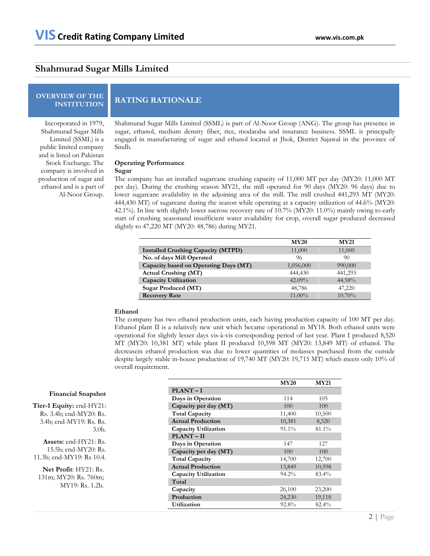### **Shahmurad Sugar Mills Limited**

# **OVERVIEW OF THE**

**INSTITUTION RATING RATIONALE**

Incorporated in 1979, Shahmurad Sugar Mills Limited (SSML) is a public limited company and is listed on Pakistan Stock Exchange. The company is involved in production of sugar and ethanol and is a part of Al-Noor Group.

Shahmurad Sugar Mills Limited (SSML) is part of Al-Noor Group (ANG). The group has presence in sugar, ethanol, medium density fiber, rice, modaraba and insurance business. SSML is principally engaged in manufacturing of sugar and ethanol located at Jhok, District Sajawal in the province of Sindh.

#### **Operating Performance**

#### **Sugar**

The company has an installed sugarcane crushing capacity of 11,000 MT per day (MY20: 11,000 MT per day). During the crushing season MY21, the mill operated for 90 days (MY20: 96 days) due to lower sugarcane availability in the adjoining area of the mill. The mill crushed 441,293 MT (MY20: 444,430 MT) of sugarcane during the season while operating at a capacity utilization of 44.6% (MY20: 42.1%). In line with slightly lower sucrose recovery rate of 10.7% (MY20: 11.0%) mainly owing to early start of crushing seasonand insufficient water availability for crop, overall sugar produced decreased slightly to 47,220 MT (MY20: 48,786) during MY21.

|                                           | <b>MY20</b> | <b>MY21</b> |
|-------------------------------------------|-------------|-------------|
| <b>Installed Crushing Capacity (MTPD)</b> | 11,000      | 11,000      |
| No. of days Mill Operated                 | 96          | 90          |
| Capacity based on Operating Days (MT)     | 1,056,000   | 990,000     |
| <b>Actual Crushing (MT)</b>               | 444,430     | 441,293     |
| <b>Capacity Utilization</b>               | $42.09\%$   | 44.58%      |
| Sugar Produced (MT)                       | 48,786      | 47,220      |
| <b>Recovery Rate</b>                      | 11.00%      | $10.70\%$   |

#### **Ethanol**

The company has two ethanol production units, each having production capacity of 100 MT per day. Ethanol plant II is a relatively new unit which became operational in MY18. Both ethanol units were operational for slightly lesser days vis-à-vis corresponding period of last year. Plant I produced 8,520 MT (MY20: 10,381 MT) while plant II produced 10,598 MT (MY20: 13,849 MT) of ethanol. The decreasein ethanol production was due to lower quantities of molasses purchased from the outside despite largely stable in-house production of 19,740 MT (MY20: 19,715 MT) which meets only 10% of overall requirement.

|                             | <b>MY20</b> | <b>MY21</b> |
|-----------------------------|-------------|-------------|
| $PLANT-I$                   |             |             |
| Days in Operation           | 114         | 105         |
| Capacity per day (MT)       | 100         | 100         |
| <b>Total Capacity</b>       | 11,400      | 10,500      |
| <b>Actual Production</b>    | 10,381      | 8,520       |
| <b>Capacity Utilization</b> | 91.1%       | 81.1%       |
| <b>PLANT-II</b>             |             |             |
| Days in Operation           | 147         | 127         |
| Capacity per day (MT)       | 100         | 100         |
| <b>Total Capacity</b>       | 14,700      | 12,700      |
| <b>Actual Production</b>    | 13,849      | 10,598      |
| <b>Capacity Utilization</b> | $94.2\%$    | 83.4%       |
| Total                       |             |             |
| Capacity                    | 26,100      | 23,200      |
| Production                  | 24,230      | 19,118      |
| Utilization                 | 92.8%       | 82.4%       |

#### **Financial Snapshot**

**Tier-1 Equity:** end-HY21: Rs. 3.4b; end-MY20: Rs. 3.4b; end-MY19: Rs. Rs. 3.0b.

**Assets:** end-HY21: Rs. 15.5b; end-MY20: Rs. 11.3b; end-MY19: Rs 10.4.

**Net Profit**: HY21: Rs. 131m; MY20: Rs. 760m; MY19: Rs. 1.2b.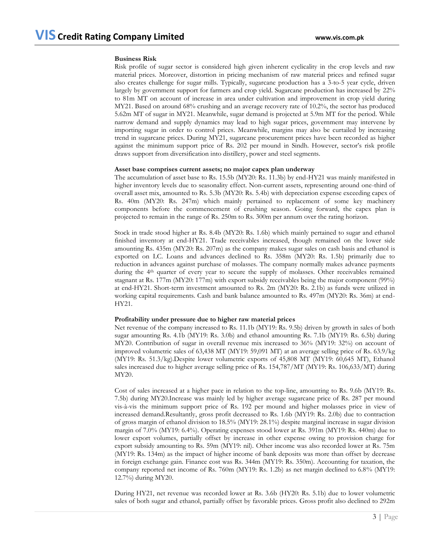#### **Business Risk**

Risk profile of sugar sector is considered high given inherent cyclicality in the crop levels and raw material prices. Moreover, distortion in pricing mechanism of raw material prices and refined sugar also creates challenge for sugar mills. Typically, sugarcane production has a 3-to-5 year cycle, driven largely by government support for farmers and crop yield. Sugarcane production has increased by 22% to 81m MT on account of increase in area under cultivation and improvement in crop yield during MY21. Based on around 68% crushing and an average recovery rate of 10.2%, the sector has produced 5.62m MT of sugar in MY21. Meanwhile, sugar demand is projected at 5.9m MT for the period. While narrow demand and supply dynamics may lead to high sugar prices, government may intervene by importing sugar in order to control prices. Meanwhile, margins may also be curtailed by increasing trend in sugarcane prices. During MY21, sugarcane procurement prices have been recorded as higher against the minimum support price of Rs. 202 per mound in Sindh. However, sector's risk profile draws support from diversification into distillery, power and steel segments.

#### **Asset base comprises current assets; no major capex plan underway**

The accumulation of asset base to Rs. 15.5b (MY20: Rs. 11.3b) by end-HY21 was mainly manifested in higher inventory levels due to seasonality effect. Non-current assets, representing around one-third of overall asset mix, amounted to Rs. 5.3b (MY20: Rs. 5.4b) with depreciation expense exceeding capex of Rs. 40m (MY20: Rs. 247m) which mainly pertained to replacement of some key machinery components before the commencement of crushing season. Going forward, the capex plan is projected to remain in the range of Rs. 250m to Rs. 300m per annum over the rating horizon.

Stock in trade stood higher at Rs. 8.4b (MY20: Rs. 1.6b) which mainly pertained to sugar and ethanol finished inventory at end-HY21. Trade receivables increased, though remained on the lower side amounting Rs. 435m (MY20: Rs. 207m) as the company makes sugar sales on cash basis and ethanol is exported on LC. Loans and advances declined to Rs. 358m (MY20: Rs. 1.5b) primarily due to reduction in advances against purchase of molasses. The company normally makes advance payments during the 4<sup>th</sup> quarter of every year to secure the supply of molasses. Other receivables remained stagnant at Rs. 177m (MY20: 177m) with export subsidy receivables being the major component (99%) at end-HY21. Short-term investment amounted to Rs. 2m (MY20: Rs. 2.1b) as funds were utilized in working capital requirements. Cash and bank balance amounted to Rs. 497m (MY20: Rs. 36m) at end-HY21.

#### **Profitability under pressure due to higher raw material prices**

Net revenue of the company increased to Rs. 11.1b (MY19: Rs. 9.5b) driven by growth in sales of both sugar amounting Rs. 4.1b (MY19: Rs. 3.0b) and ethanol amounting Rs. 7.1b (MY19: Rs. 6.5b) during MY20. Contribution of sugar in overall revenue mix increased to 36% (MY19: 32%) on account of improved volumetric sales of 63,438 MT (MY19: 59,091 MT) at an average selling price of Rs. 63.9/kg (MY19: Rs. 51.3/kg).Despite lower volumetric exports of 45,808 MT (MY19: 60,645 MT), Ethanol sales increased due to higher average selling price of Rs. 154,787/MT (MY19: Rs. 106,633/MT) during MY20.

Cost of sales increased at a higher pace in relation to the top-line, amounting to Rs. 9.6b (MY19: Rs. 7.5b) during MY20.Increase was mainly led by higher average sugarcane price of Rs. 287 per mound vis-à-vis the minimum support price of Rs. 192 per mound and higher molasses price in view of increased demand.Resultantly, gross profit decreased to Rs. 1.6b (MY19: Rs. 2.0b) due to contraction of gross margin of ethanol division to 18.5% (MY19: 28.1%) despite marginal increase in sugar division margin of 7.0% (MY19: 6.4%). Operating expenses stood lower at Rs. 391m (MY19: Rs. 440m) due to lower export volumes, partially offset by increase in other expense owing to provision charge for export subsidy amounting to Rs. 59m (MY19: nil). Other income was also recorded lower at Rs. 75m (MY19: Rs. 134m) as the impact of higher income of bank deposits was more than offset by decrease in foreign exchange gain. Finance cost was Rs. 344m (MY19: Rs. 350m). Accounting for taxation, the company reported net income of Rs. 760m (MY19: Rs. 1.2b) as net margin declined to 6.8% (MY19: 12.7%) during MY20.

During HY21, net revenue was recorded lower at Rs. 3.6b (HY20: Rs. 5.1b) due to lower volumetric sales of both sugar and ethanol, partially offset by favorable prices. Gross profit also declined to 292m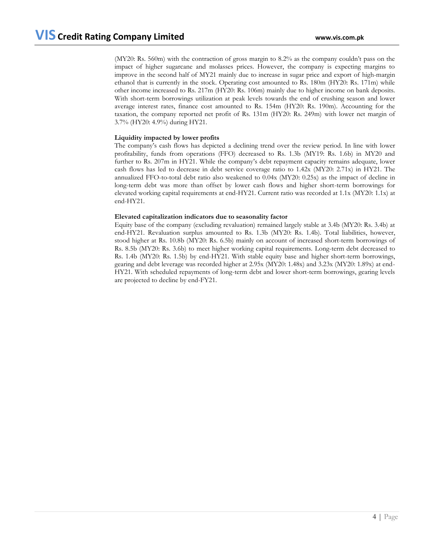(MY20: Rs. 560m) with the contraction of gross margin to 8.2% as the company couldn't pass on the impact of higher sugarcane and molasses prices. However, the company is expecting margins to improve in the second half of MY21 mainly due to increase in sugar price and export of high-margin ethanol that is currently in the stock. Operating cost amounted to Rs. 180m (HY20: Rs. 171m) while other income increased to Rs. 217m (HY20: Rs. 106m) mainly due to higher income on bank deposits. With short-term borrowings utilization at peak levels towards the end of crushing season and lower average interest rates, finance cost amounted to Rs. 154m (HY20: Rs. 190m). Accounting for the taxation, the company reported net profit of Rs. 131m (HY20: Rs. 249m) with lower net margin of 3.7% (HY20: 4.9%) during HY21.

### **Liquidity impacted by lower profits**

The company's cash flows has depicted a declining trend over the review period. In line with lower profitability, funds from operations (FFO) decreased to Rs. 1.3b (MY19: Rs. 1.6b) in MY20 and further to Rs. 207m in HY21. While the company's debt repayment capacity remains adequate, lower cash flows has led to decrease in debt service coverage ratio to 1.42x (MY20: 2.71x) in HY21. The annualized FFO-to-total debt ratio also weakened to 0.04x (MY20: 0.25x) as the impact of decline in long-term debt was more than offset by lower cash flows and higher short-term borrowings for elevated working capital requirements at end-HY21. Current ratio was recorded at 1.1x (MY20: 1.1x) at end-HY21.

### **Elevated capitalization indicators due to seasonality factor**

Equity base of the company (excluding revaluation) remained largely stable at 3.4b (MY20: Rs. 3.4b) at end-HY21. Revaluation surplus amounted to Rs. 1.3b (MY20: Rs. 1.4b). Total liabilities, however, stood higher at Rs. 10.8b (MY20: Rs. 6.5b) mainly on account of increased short-term borrowings of Rs. 8.5b (MY20: Rs. 3.6b) to meet higher working capital requirements. Long-term debt decreased to Rs. 1.4b (MY20: Rs. 1.5b) by end-HY21. With stable equity base and higher short-term borrowings, gearing and debt leverage was recorded higher at 2.95x (MY20: 1.48x) and 3.23x (MY20: 1.89x) at end-HY21. With scheduled repayments of long-term debt and lower short-term borrowings, gearing levels are projected to decline by end-FY21.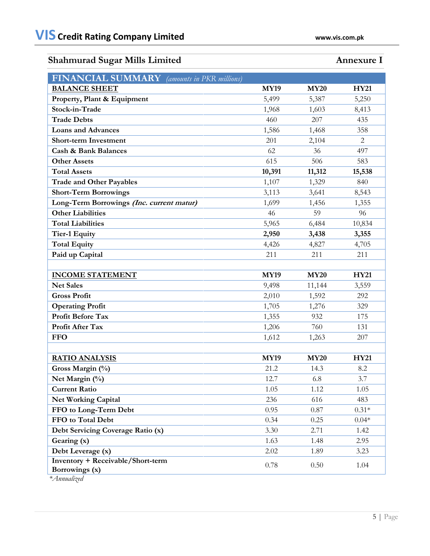# **Shahmurad Sugar Mills Limited Annexure I**

| <b>FINANCIAL SUMMARY</b> (amounts in PKR millions)         |             |             |             |
|------------------------------------------------------------|-------------|-------------|-------------|
| <b>BALANCE SHEET</b>                                       | <b>MY19</b> | <b>MY20</b> | <b>HY21</b> |
| Property, Plant & Equipment                                | 5,499       | 5,387       | 5,250       |
| Stock-in-Trade                                             | 1,968       | 1,603       | 8,413       |
| <b>Trade Debts</b>                                         | 460         | 207         | 435         |
| <b>Loans and Advances</b>                                  | 1,586       | 1,468       | 358         |
| <b>Short-term Investment</b>                               | 201         | 2,104       | 2           |
| <b>Cash &amp; Bank Balances</b>                            | 62          | 36          | 497         |
| <b>Other Assets</b>                                        | 615         | 506         | 583         |
| <b>Total Assets</b>                                        | 10,391      | 11,312      | 15,538      |
| <b>Trade and Other Payables</b>                            | 1,107       | 1,329       | 840         |
| <b>Short-Term Borrowings</b>                               | 3,113       | 3,641       | 8,543       |
| Long-Term Borrowings (Inc. current matur)                  | 1,699       | 1,456       | 1,355       |
| <b>Other Liabilities</b>                                   | 46          | 59          | 96          |
| <b>Total Liabilities</b>                                   | 5,965       | 6,484       | 10,834      |
| <b>Tier-1 Equity</b>                                       | 2,950       | 3,438       | 3,355       |
| <b>Total Equity</b>                                        | 4,426       | 4,827       | 4,705       |
| Paid up Capital                                            | 211         | 211         | 211         |
|                                                            |             |             |             |
| <b>INCOME STATEMENT</b>                                    | <b>MY19</b> | <b>MY20</b> | <b>HY21</b> |
| <b>Net Sales</b>                                           | 9,498       | 11,144      | 3,559       |
| <b>Gross Profit</b>                                        | 2,010       | 1,592       | 292         |
| <b>Operating Profit</b>                                    | 1,705       | 1,276       | 329         |
| <b>Profit Before Tax</b>                                   | 1,355       | 932         | 175         |
| Profit After Tax                                           | 1,206       | 760         | 131         |
| <b>FFO</b>                                                 | 1,612       | 1,263       | 207         |
|                                                            |             |             |             |
| <b>RATIO ANALYSIS</b>                                      | <b>MY19</b> | <b>MY20</b> | <b>HY21</b> |
| Gross Margin (%)                                           | 21.2        | 14.3        | 8.2         |
| Net Margin (%)                                             | 12.7        | 6.8         | 3.7         |
| <b>Current Ratio</b>                                       | 1.05        | 1.12        | 1.05        |
| <b>Net Working Capital</b>                                 | 236         | 616         | 483         |
| FFO to Long-Term Debt                                      | 0.95        | 0.87        | $0.31*$     |
| FFO to Total Debt                                          | 0.34        | 0.25        | $0.04*$     |
| Debt Servicing Coverage Ratio (x)                          | 3.30        | 2.71        | 1.42        |
| Gearing (x)                                                | 1.63        | 1.48        | 2.95        |
| Debt Leverage (x)                                          | 2.02        | 1.89        | 3.23        |
| <b>Inventory + Receivable/Short-term</b><br>Borrowings (x) | 0.78        | 0.50        | 1.04        |

 *\*Annualized*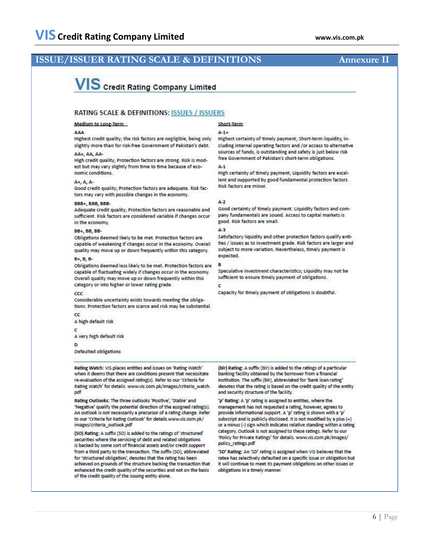## **ISSUE/ISSUER RATING SCALE & DEFINITIONS Annexure II**

# **VIS** Credit Rating Company Limited

### **RATING SCALE & DEFINITIONS: ISSUES / ISSUERS**

#### Medium to Long-Term

#### AAA

Highest credit quality; the risk factors are negligible, being only slightly more than for risk-free Government of Pakistan's debt.

#### AA+, AA, AA-

High credit quality; Protection factors are strong. Risk is modest but may vary slightly from time to time because of economic conditions.

#### A+, A, A-

Good credit quality; Protection factors are adequate. Risk factors may vary with possible changes in the economy.

#### **BBB+ BBB BBB-**

Adequate credit quality; Protection factors are reasonable and sufficient. Risk factors are considered variable if changes occur in the economy.

#### **BB+ BB BB-**

Obligations deemed likely to be met. Protection factors are capable of weakening if changes occur in the economy. Overall quality may move up or down frequently within this category.

#### B+, B, B-

Obligations deemed less likely to be met. Protection factors are capable of fluctuating widely if changes occur in the economy. Overall quality may move up or down frequently within this category or into higher or lower rating grade.

#### $_{\rm ccc}$

Considerable uncertainty exists towards meeting the obligations. Protection factors are scarce and risk may be substantial.  $_{\rm cc}$ 

A high default risk

#### ¢

A very high default risk

#### D

Defaulted obligations

Rating Watch: VIS places entities and issues on 'Rating Watch' when it deems that there are conditions present that necessitate re-evaluation of the assigned rating(s). Refer to our 'Criteria for Rating Watch' for details. www.vis.com.pk/images/criteria\_watch. pdf

Rating Outlooks: The three outlooks 'Positive', 'Stable' and 'Negative' qualify the potential direction of the assigned rating(s). An outlook is not necessarily a precursor of a rating change. Refer to our 'Criteria for Rating Outlook' for details.www.vis.com.pk/ images/criteria outlook.pdf

(SO) Rating: A suffix (SO) is added to the ratings of 'structured' securities where the servicing of debt and related obligations is backed by some sort of financial assets and/or credit support from a third party to the transaction. The suffix (SO), abbreviated for 'structured obligation', denotes that the rating has been achieved on grounds of the structure backing the transaction that enhanced the credit quality of the securities and not on the basis of the credit quality of the issuing entity alone.

### Short-Term

#### $A-1+$

Highest certainty of timely payment; Short-term liquidity, including internal operating factors and /or access to alternative sources of funds, is outstanding and safety is just below risk free Government of Pakistan's short-term obligations.

#### $A-1$

High certainty of timely payment; Liquidity factors are excellent and supported by good fundamental protection factors. **Risk factors are minor.** 

#### $A-2$

Good certainty of timely payment. Liquidity factors and company fundamentals are sound. Access to capital markets is good. Risk factors are small.

#### $A-3$

Satisfactory liquidity and other protection factors qualify entities / issues as to investment grade. Risk factors are larger and subject to more variation. Nevertheless, timely payment is expected.

#### B

Speculative investment characteristics; Liquidity may not be sufficient to ensure timely payment of obligations.

Capacity for timely payment of obligations is doubtful.

(bir) Rating: A suffix (bir) is added to the ratings of a particular banking facility obtained by the borrower from a financial institution. The suffix (blr), abbreviated for 'bank loan rating' denotes that the rating is based on the credit quality of the entity and security structure of the facility.

'p' Rating: A 'p' rating is assigned to entities, where the management has not requested a rating, however, agrees to provide informational support. A 'p' rating is shown with a 'p' subscript and is publicly disclosed. It is not modified by a plus (+) or a minus (-) sign which indicates relative standing within a rating category. Outlook is not assigned to these ratings. Refer to our 'Policy for Private Ratings' for details. www.vis.com.pk/images/ policy\_ratings.pdf

'SD' Rating: An 'SD' rating is assigned when VIS believes that the ratee has selectively defaulted on a specific issue or obligation but it will continue to meet its payment obligations on other issues or obligations in a timely manner.